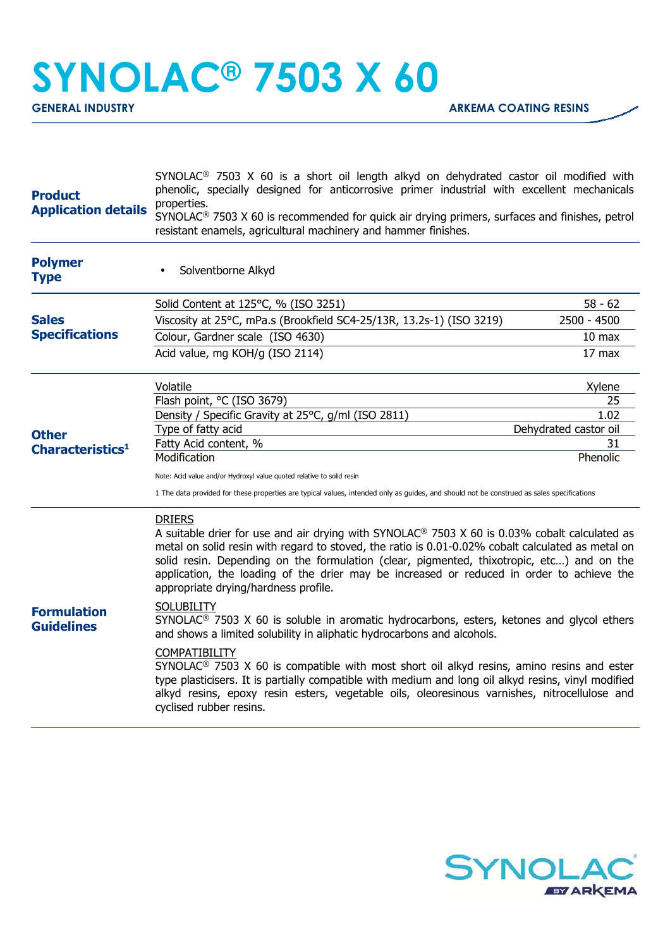## **SYNOLAC® 7503 X 60**

| <b>Product</b><br><b>Application details</b> | $SYNOLAC®$ 7503 X 60 is a short oil length alkyd on dehydrated castor oil modified with<br>phenolic, specially designed for anticorrosive primer industrial with excellent mechanicals<br>properties.<br>SYNOLAC <sup>®</sup> 7503 X 60 is recommended for quick air drying primers, surfaces and finishes, petrol<br>resistant enamels, agricultural machinery and hammer finishes.                                                                                                   |                               |  |
|----------------------------------------------|----------------------------------------------------------------------------------------------------------------------------------------------------------------------------------------------------------------------------------------------------------------------------------------------------------------------------------------------------------------------------------------------------------------------------------------------------------------------------------------|-------------------------------|--|
| <b>Polymer</b><br><b>Type</b>                | Solventborne Alkyd                                                                                                                                                                                                                                                                                                                                                                                                                                                                     |                               |  |
| <b>Sales</b><br><b>Specifications</b>        | Solid Content at 125°C, % (ISO 3251)                                                                                                                                                                                                                                                                                                                                                                                                                                                   | $58 - 62$                     |  |
|                                              | Viscosity at 25°C, mPa.s (Brookfield SC4-25/13R, 13.2s-1) (ISO 3219)                                                                                                                                                                                                                                                                                                                                                                                                                   | 2500 - 4500                   |  |
|                                              | Colour, Gardner scale (ISO 4630)                                                                                                                                                                                                                                                                                                                                                                                                                                                       | 10 <sub>max</sub>             |  |
|                                              | Acid value, mg KOH/g (ISO 2114)                                                                                                                                                                                                                                                                                                                                                                                                                                                        | 17 max                        |  |
| <b>Other</b><br>Characteristics <sup>1</sup> | Volatile                                                                                                                                                                                                                                                                                                                                                                                                                                                                               | Xylene                        |  |
|                                              | Flash point, °C (ISO 3679)                                                                                                                                                                                                                                                                                                                                                                                                                                                             | 25                            |  |
|                                              | Density / Specific Gravity at 25°C, g/ml (ISO 2811)<br>Type of fatty acid                                                                                                                                                                                                                                                                                                                                                                                                              | 1.02<br>Dehydrated castor oil |  |
|                                              | Fatty Acid content, %                                                                                                                                                                                                                                                                                                                                                                                                                                                                  | 31                            |  |
|                                              | Modification                                                                                                                                                                                                                                                                                                                                                                                                                                                                           | Phenolic                      |  |
|                                              | Note: Acid value and/or Hydroxyl value quoted relative to solid resin                                                                                                                                                                                                                                                                                                                                                                                                                  |                               |  |
|                                              | 1 The data provided for these properties are typical values, intended only as guides, and should not be construed as sales specifications                                                                                                                                                                                                                                                                                                                                              |                               |  |
| <b>Formulation</b><br><b>Guidelines</b>      | <b>DRIERS</b><br>A suitable drier for use and air drying with SYNOLAC <sup>®</sup> 7503 X 60 is 0.03% cobalt calculated as<br>metal on solid resin with regard to stoved, the ratio is 0.01-0.02% cobalt calculated as metal on<br>solid resin. Depending on the formulation (clear, pigmented, thixotropic, etc) and on the<br>application, the loading of the drier may be increased or reduced in order to achieve the<br>appropriate drying/hardness profile.<br><b>SOLUBILITY</b> |                               |  |
|                                              | SYNOLAC <sup>®</sup> 7503 X 60 is soluble in aromatic hydrocarbons, esters, ketones and glycol ethers<br>and shows a limited solubility in aliphatic hydrocarbons and alcohols.                                                                                                                                                                                                                                                                                                        |                               |  |
|                                              | COMPATIBILITY<br>SYNOLAC <sup>®</sup> 7503 X 60 is compatible with most short oil alkyd resins, amino resins and ester<br>type plasticisers. It is partially compatible with medium and long oil alkyd resins, vinyl modified<br>alkyd resins, epoxy resin esters, vegetable oils, oleoresinous varnishes, nitrocellulose and<br>cyclised rubber resins.                                                                                                                               |                               |  |